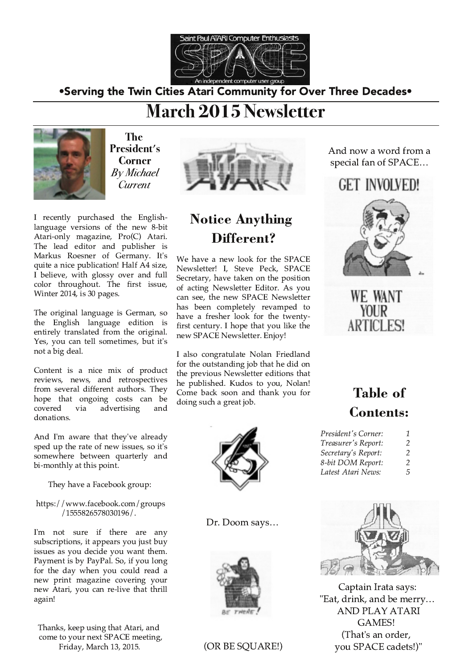

•Serving the Twin Cities Atari Community for Over Three Decades•

# **March 2015 Newsletter**



The President's **Corner By Michael** Current

I recently purchased the Englishlanguage versions of the new 8-bit Atari-only magazine, Pro(C) Atari. The lead editor and publisher is Markus Roesner of Germany. It's quite a nice publication! Half A4 size, I believe, with glossy over and full color throughout. The first issue, Winter 2014, is 30 pages.

The original language is German, so the English language edition is entirely translated from the original. Yes, you can tell sometimes, but it's not a big deal.

Content is a nice mix of product reviews, news, and retrospectives from several different authors. They hope that ongoing costs can be advertising covered via and donations.

And I'm aware that they've already sped up the rate of new issues, so it's somewhere between quarterly and bi-monthly at this point.

They have a Facebook group:

https://www.facebook.com/groups /1555826578030196/.

I'm not sure if there are any subscriptions, it appears you just buy issues as you decide you want them. Payment is by PayPal. So, if you long for the day when you could read a new print magazine covering your new Atari, you can re-live that thrill again!

Thanks, keep using that Atari, and come to your next SPACE meeting, Friday, March 13, 2015.



## **Notice Anything** Different?

We have a new look for the SPACE Newsletter! I, Steve Peck, SPACE Secretary, have taken on the position of acting Newsletter Editor. As you can see, the new SPACE Newsletter has been completely revamped to have a fresher look for the twentyfirst century. I hope that you like the new SPACE Newsletter. Enjoy!

I also congratulate Nolan Friedland for the outstanding job that he did on the previous Newsletter editions that he published. Kudos to you, Nolan! Come back soon and thank you for doing such a great job.



Dr. Doom says...



### (OR BE SQUARE!)

And now a word from a special fan of SPACE...

# **GET INVOLVED!**





## **Table of Contents:**

| President's Corner: | 7 |
|---------------------|---|
| Treasurer's Report: | 2 |
| Secretary's Report: | 2 |
| 8-bit DOM Report:   | 2 |
| Latest Atari News:  | 5 |



Captain Irata says: "Eat, drink, and be merry... **AND PLAY ATARI GAMES!** (That's an order, you SPACE cadets!)"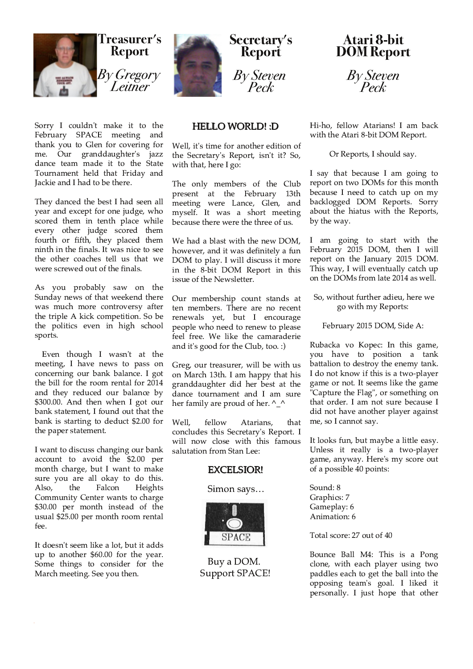

Sorry I couldn't make it to the<br>February SPACE meeting and SPACE meeting thank you to Glen for covering for me. Our granddaughter's jazz dance team made it to the State Tournament held that Friday and Jackie and I had to be there.

They danced the best I had seen all year and except for one judge, who scored them in tenth place while every other judge scored them fourth or fifth, they placed them ninth in the finals. It was nice to see the other coaches tell us that we were screwed out of the finals.

As you probably saw on the Sunday news of that weekend there was much more controversy after the triple A kick competition. So be the politics even in high school sports.

Even though I wasn't at the meeting, I have news to pass on concerning our bank balance. I got the bill for the room rental for 2014 and they reduced our balance by \$300.00. And then when I got our bank statement, I found out that the bank is starting to deduct \$2.00 for the paper statement.

I want to discuss changing our bank account to avoid the \$2.00 per month charge, but I want to make sure you are all okay to do this.<br>Also, the Falcon Heights Also, the Falcon Heights Community Center wants to charge \$30.00 per month instead of the usual \$25.00 per month room rental fee.

It doesn't seem like a lot, but it adds up to another  $$60.00$  for the year. Some things to consider for the March meeting. See you then.



#### **HELLO WORLD!: D**

Well, it's time for another edition of the Secretary's Report, isn't it? So, with that, here I go:

The only members of the Club present at the February 13th meeting were Lance, Glen, and myself. It was a short meeting because there were the three of us.

We had a blast with the new DOM. however, and it was definitely a fun DOM to play. I will discuss it more in the 8-bit DOM Report in this issue of the Newsletter.

Our membership count stands at ten members. There are no recent renewals yet, but I encourage people who need to renew to please feel free. We like the camaraderie and it's good for the Club, too. :)

Greg, our treasurer, will be with us on March 13th. I am happy that his granddaughter did her best at the dance tournament and I am sure her family are proud of her.  $\wedge$   $\wedge$ 

Well, fellow Atarians, that concludes this Secretary's Report. I will now close with this famous salutation from Stan Lee:

#### EXCELSIOR!

#### Simon says...



Buy a DOM. Support SPACE!

**Atari 8-bit DOM Report** 

By Steven Peck

Hi-ho, fellow Atarians! I am back with the Atari 8-bit DOM Report.

Or Reports, I should say.

I say that because I am going to report on two DOMs for this month because I need to catch up on my backlogged DOM Reports. Sorry about the hiatus with the Reports, by the way.

I am going to start with the February 2015 DOM, then I will report on the January 2015 DOM. This way, I will eventually catch up on the DOMs from late 2014 as well.

So, without further adieu, here we go with my Reports:

February 2015 DOM, Side A:

Rubacka vo Kopec: In this game, vou have to position a tank battalion to destroy the enemy tank. I do not know if this is a two-player game or not. It seems like the game "Capture the Flag", or something on that order. I am not sure because I did not have another player against me, so I cannot say.

It looks fun, but maybe a little easy. Unless it really is a two-player game, anyway. Here's my score out of a possible 40 points:

Sound: 8 Graphics: 7 Gameplay: 6 Animation: 6

Total score: 27 out of 40

Bounce Ball M4: This is a Pong clone, with each player using two paddles each to get the ball into the opposing team's goal. I liked it personally. I just hope that other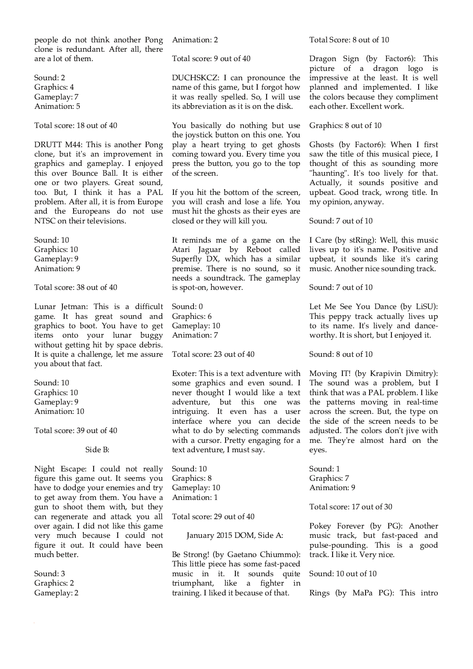people do not think another Pong clone is redundant. After all, there are a lot of them

Sound: 2 Graphics: 4 Gameplay: 7 Animation: 5

Total score: 18 out of 40

DRUTT M44: This is another Pong clone, but it's an improvement in graphics and gameplay. I enjoyed this over Bounce Ball. It is either one or two players. Great sound, too. But, I think it has a PAL problem. After all, it is from Europe and the Europeans do not use NTSC on their televisions.

Sound: 10 Graphics: 10 Gameplay: 9 Animation: 9

Total score: 38 out of 40

Lunar Jetman: This is a difficult game. It has great sound and graphics to boot. You have to get items onto your lunar buggy without getting hit by space debris. It is quite a challenge, let me assure you about that fact.

Sound: 10 Graphics: 10 Gameplay: 9 Animation: 10

Total score: 39 out of 40

Side B:

Night Escape: I could not really figure this game out. It seems you have to dodge your enemies and try to get away from them. You have a gun to shoot them with, but they can regenerate and attack you all over again. I did not like this game very much because I could not figure it out. It could have been much better.

Sound: 3 Graphics: 2 Gameplay: 2 Animation: 2

Total score: 9 out of 40

DUCHSKCZ: I can pronounce the name of this game, but I forgot how it was really spelled. So, I will use its abbreviation as it is on the disk.

You basically do nothing but use the joystick button on this one. You play a heart trying to get ghosts coming toward you. Every time you press the button, you go to the top of the screen.

If you hit the bottom of the screen, you will crash and lose a life. You must hit the ghosts as their eyes are closed or they will kill you.

It reminds me of a game on the Atari Jaguar by Reboot called Superfly DX, which has a similar premise. There is no sound, so it needs a soundtrack. The gameplay is spot-on, however.

Sound: 0 Graphics: 6 Gameplay: 10 Animation: 7

Total score: 23 out of 40

Exoter: This is a text adventure with some graphics and even sound. I never thought I would like a text adventure, but this one was intriguing. It even has a user interface where you can decide what to do by selecting commands with a cursor. Pretty engaging for a text adventure, I must say.

Sound: 10 Graphics: 8 Gameplay: 10 Animation: 1

Total score: 29 out of 40

January 2015 DOM, Side A:

Be Strong! (by Gaetano Chiummo): This little piece has some fast-paced music in it. It sounds quite triumphant, like a fighter in training. I liked it because of that.

Total Score: 8 out of 10

Dragon Sign (by Factor6): This picture of a dragon logo is impressive at the least. It is well planned and implemented. I like the colors because they compliment each other. Excellent work.

Graphics: 8 out of 10

Ghosts (by Factor6): When I first saw the title of this musical piece, I thought of this as sounding more "haunting". It's too lively for that. Actually, it sounds positive and upbeat. Good track, wrong title. In my opinion, anyway.

Sound: 7 out of 10

I Care (by stRing): Well, this music lives up to it's name. Positive and upbeat, it sounds like it's caring music. Another nice sounding track.

Sound: 7 out of 10

Let Me See You Dance (by LiSU): This peppy track actually lives up to its name. It's lively and danceworthy. It is short, but I enjoyed it.

Sound: 8 out of 10

Moving IT! (by Krapivin Dimitry): The sound was a problem, but I think that was a PAL problem. I like the patterns moving in real-time across the screen. But, the type on the side of the screen needs to be adjusted. The colors don't jive with me. They're almost hard on the eyes.

Sound: 1 Graphics: 7 Animation: 9

Total score: 17 out of 30

Pokey Forever (by PG): Another music track, but fast-paced and pulse-pounding. This is a good track. I like it. Very nice.

Sound: 10 out of 10

Rings (by MaPa PG): This intro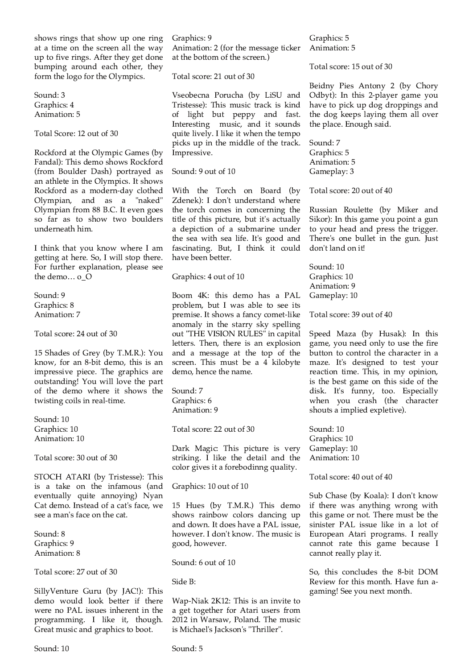shows rings that show up one ring at a time on the screen all the way up to five rings. After they get done bumping around each other, they form the logo for the Olympics.

Sound: 3 Graphics: 4 Animation: 5

Total Score: 12 out of 30

Rockford at the Olympic Games (by Fandal): This demo shows Rockford (from Boulder Dash) portrayed as an athlete in the Olympics. It shows Rockford as a modern-day clothed Olympian, and as a "naked"<br>Olympian, and as a "naked"<br>Olympian from 88 B.C. It even goes so far as to show two boulders underneath him.

I think that you know where I am getting at here. So, I will stop there. For further explanation, please see the demo... o O

Sound: 9 Graphics: 8 Animation: 7

Total score: 24 out of 30

15 Shades of Grey (by T.M.R.): You know, for an 8-bit demo, this is an impressive piece. The graphics are outstanding! You will love the part of the demo where it shows the twisting coils in real-time.

Sound: 10 Graphics: 10 Animation: 10

Total score: 30 out of 30

STOCH ATARI (by Tristesse): This is a take on the infamous (and eventually quite annoying) Nyan Cat demo. Instead of a cat's face, we see a man's face on the cat.

Sound: 8 Graphics: 9 Animation: 8

Total score: 27 out of 30

SillyVenture Guru (by JAC!): This demo would look better if there were no PAL issues inherent in the programming. I like it, though. Great music and graphics to boot.

Sound: 10

Graphics: 9 Animation: 2 (for the message ticker at the bottom of the screen.)

Total score: 21 out of 30

Vseobecna Porucha (by LiSU and Tristesse): This music track is kind of light but peppy and fast. Interesting music, and it sounds quite lively. I like it when the tempo picks up in the middle of the track. Impressive.

Sound: 9 out of 10

With the Torch on Board (by Zdenek): I don't understand where the torch comes in concerning the title of this picture, but it's actually a depiction of a submarine under the sea with sea life. It's good and fascinating. But, I think it could have been better.

Graphics: 4 out of 10

Boom 4K: this demo has a PAL problem, but I was able to see its premise. It shows a fancy comet-like anomaly in the starry sky spelling out "THE VISION RULES" in capital letters. Then, there is an explosion and a message at the top of the screen. This must be a 4 kilobyte demo, hence the name.

Sound: 7 Graphics: 6 Animation: 9

Total score: 22 out of 30

Dark Magic: This picture is very striking. I like the detail and the color gives it a forebodinng quality.

Graphics: 10 out of 10

15 Hues (by T.M.R.) This demo shows rainbow colors dancing up and down. It does have a PAL issue, however. I don't know. The music is good, however.

Sound: 6 out of 10

Side B:

Wap-Niak 2K12: This is an invite to a get together for Atari users from 2012 in Warsaw, Poland. The music is Michael's Jackson's "Thriller".

Graphics: 5 Animation: 5

Total score: 15 out of 30

Beidny Pies Antony 2 (by Chory Odbyt): In this 2-player game you have to pick up dog droppings and the dog keeps laying them all over the place. Enough said.

Sound: 7 Graphics: 5 Animation: 5 Gameplay: 3

Total score: 20 out of 40

Russian Roulette (by Miker and Sikor): In this game you point a gun to your head and press the trigger. There's one bullet in the gun. Just don't land on it!

Sound: 10 Graphics: 10 Animation: 9 Gameplay: 10

Total score: 39 out of 40

Speed Maza (by Husak): In this game, you need only to use the fire button to control the character in a maze. It's designed to test your reaction time. This, in my opinion, is the best game on this side of the disk. It's funny, too. Especially when you crash (the character shouts a implied expletive).

Sound: 10 Graphics: 10 Gameplay: 10 Animation: 10

Total score: 40 out of 40

Sub Chase (by Koala): I don't know if there was anything wrong with this game or not. There must be the sinister PAL issue like in a lot of European Atari programs. I really cannot rate this game because I cannot really play it.

So, this concludes the 8-bit DOM Review for this month. Have fun agaming! See you next month.

Sound: 5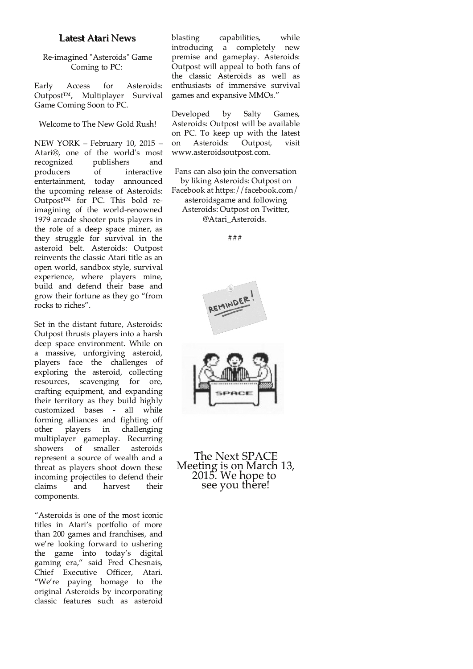#### **Latest Atari News**

Re-imagined "Asteroids" Game Coming to PC:

Early Access for Asteroids:  $Outpost^{TM}$ , Multiplayer Survival Game Coming Soon to PC.

Welcome to The New Gold Rush!

NEW YORK - February 10, 2015 -Atari®, one of the world's most publishers recognized and producers  $\overline{of}$ interactive entertainment, today announced the upcoming release of Asteroids: Outpost<sup>™</sup> for PC. This bold reimagining of the world-renowned 1979 arcade shooter puts players in the role of a deep space miner, as they struggle for survival in the asteroid belt. Asteroids: Outpost reinvents the classic Atari title as an open world, sandbox style, survival experience, where players mine, build and defend their base and grow their fortune as they go "from rocks to riches".

Set in the distant future, Asteroids: Outpost thrusts players into a harsh deep space environment. While on a massive, unforgiving asteroid, players face the challenges of exploring the asteroid, collecting resources, scavenging for ore, crafting equipment, and expanding their territory as they build highly customized bases - all while forming alliances and fighting off other players in challenging multiplayer gameplay. Recurring showers of smaller asteroids represent a source of wealth and a threat as players shoot down these incoming projectiles to defend their claims and harvest their components.

"Asteroids is one of the most iconic titles in Atari's portfolio of more than 200 games and franchises, and we're looking forward to ushering the game into today's digital gaming era," said Fred Chesnais, Chief Executive Officer, Atari. "We're paying homage to the original Asteroids by incorporating classic features such as asteroid

blasting capabilities, while introducing a completely new premise and gameplay. Asteroids: Outpost will appeal to both fans of the classic Asteroids as well as enthusiasts of immersive survival games and expansive MMOs."

Developed  $by$ Salty Games, Asteroids: Outpost will be available on PC. To keep up with the latest Outpost, on Asteroids: visit www.asteroidsoutpost.com.

Fans can also join the conversation by liking Asteroids: Outpost on Facebook at https://facebook.com/ asteroidsgame and following Asteroids: Outpost on Twitter, @Atari Asteroids.

 $# # #$ 



The Next SPACE Meeting is on March 13,<br>2015. We hope to see you there!